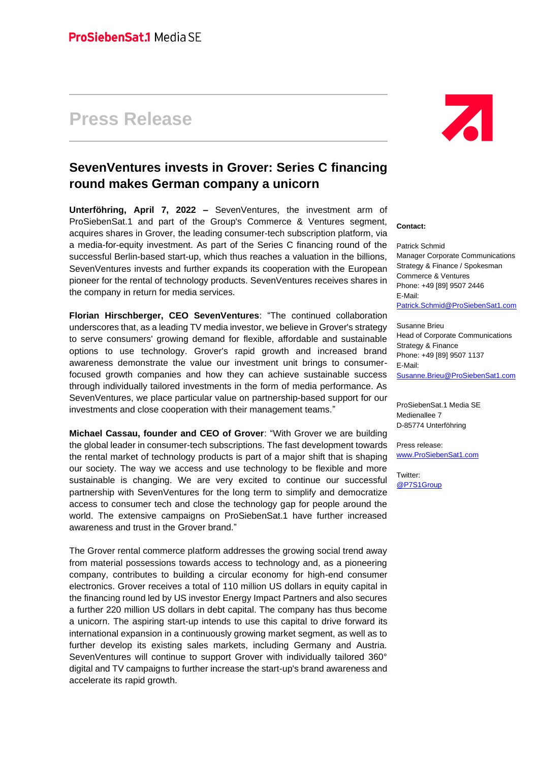## **Press Release**

## **SevenVentures invests in Grover: Series C financing round makes German company a unicorn**

**Unterföhring, April 7, 2022 –** SevenVentures, the investment arm of ProSiebenSat.1 and part of the Group's Commerce & Ventures segment, acquires shares in Grover, the leading consumer-tech subscription platform, via a media-for-equity investment. As part of the Series C financing round of the successful Berlin-based start-up, which thus reaches a valuation in the billions, SevenVentures invests and further expands its cooperation with the European pioneer for the rental of technology products. SevenVentures receives shares in the company in return for media services.

**Florian Hirschberger, CEO SevenVentures**: "The continued collaboration underscores that, as a leading TV media investor, we believe in Grover's strategy to serve consumers' growing demand for flexible, affordable and sustainable options to use technology. Grover's rapid growth and increased brand awareness demonstrate the value our investment unit brings to consumerfocused growth companies and how they can achieve sustainable success through individually tailored investments in the form of media performance. As SevenVentures, we place particular value on partnership-based support for our investments and close cooperation with their management teams."

**Michael Cassau, founder and CEO of Grover**: "With Grover we are building the global leader in consumer-tech subscriptions. The fast development towards the rental market of technology products is part of a major shift that is shaping our society. The way we access and use technology to be flexible and more sustainable is changing. We are very excited to continue our successful partnership with SevenVentures for the long term to simplify and democratize access to consumer tech and close the technology gap for people around the world. The extensive campaigns on ProSiebenSat.1 have further increased awareness and trust in the Grover brand."

The Grover rental commerce platform addresses the growing social trend away from material possessions towards access to technology and, as a pioneering company, contributes to building a circular economy for high-end consumer electronics. Grover receives a total of 110 million US dollars in equity capital in the financing round led by US investor Energy Impact Partners and also secures a further 220 million US dollars in debt capital. The company has thus become a unicorn. The aspiring start-up intends to use this capital to drive forward its international expansion in a continuously growing market segment, as well as to further develop its existing sales markets, including Germany and Austria. SevenVentures will continue to support Grover with individually tailored 360° digital and TV campaigns to further increase the start-up's brand awareness and accelerate its rapid growth.



## **Contact:**

Patrick Schmid Manager Corporate Communications Strategy & Finance / Spokesman Commerce & Ventures Phone: +49 [89] 9507 2446 E-Mail: [Patrick.Schmid@ProSiebenSat1.com](mailto:Patrick.Schmid@ProSiebenSat1.com)

Susanne Brieu Head of Corporate Communications Strategy & Finance Phone: +49 [89] 9507 1137 E-Mail: [Susanne.Brieu@ProSiebenSat1.com](mailto:Stefanie.Rupp@ProSiebenSat1.com)

ProSiebenSat.1 Media SE Medienallee 7 D-85774 Unterföhring

Press release: [www.ProSiebenSat1.com](http://www.prosiebensat1.com/)

Twitter: [@P7S1Group](https://twitter.com/P7S1Group)